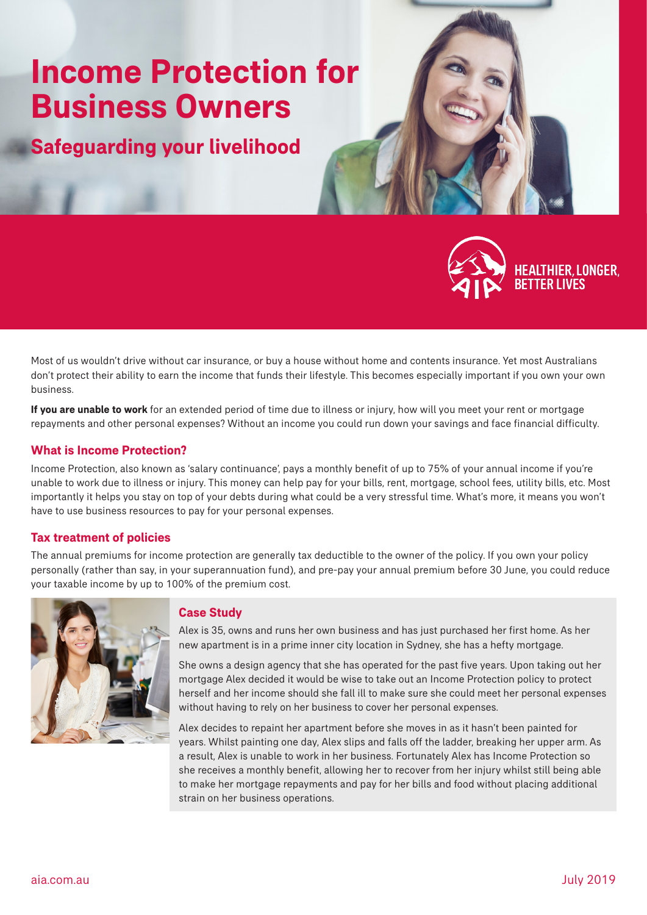# **Income Protection for Business Owners**

**Safeguarding your livelihood**



**HEALTHIER, LONGER, BETTER LIVES** 

Most of us wouldn't drive without car insurance, or buy a house without home and contents insurance. Yet most Australians don't protect their ability to earn the income that funds their lifestyle. This becomes especially important if you own your own business.

**If you are unable to work** for an extended period of time due to illness or injury, how will you meet your rent or mortgage repayments and other personal expenses? Without an income you could run down your savings and face financial difficulty.

## **What is Income Protection?**

Income Protection, also known as 'salary continuance', pays a monthly benefit of up to 75% of your annual income if you're unable to work due to illness or injury. This money can help pay for your bills, rent, mortgage, school fees, utility bills, etc. Most importantly it helps you stay on top of your debts during what could be a very stressful time. What's more, it means you won't have to use business resources to pay for your personal expenses.

### **Tax treatment of policies**

The annual premiums for income protection are generally tax deductible to the owner of the policy. If you own your policy personally (rather than say, in your superannuation fund), and pre-pay your annual premium before 30 June, you could reduce your taxable income by up to 100% of the premium cost.



#### **Case Study**

Alex is 35, owns and runs her own business and has just purchased her first home. As her new apartment is in a prime inner city location in Sydney, she has a hefty mortgage.

She owns a design agency that she has operated for the past five years. Upon taking out her mortgage Alex decided it would be wise to take out an Income Protection policy to protect herself and her income should she fall ill to make sure she could meet her personal expenses without having to rely on her business to cover her personal expenses.

Alex decides to repaint her apartment before she moves in as it hasn't been painted for years. Whilst painting one day, Alex slips and falls off the ladder, breaking her upper arm. As a result, Alex is unable to work in her business. Fortunately Alex has Income Protection so she receives a monthly benefit, allowing her to recover from her injury whilst still being able to make her mortgage repayments and pay for her bills and food without placing additional strain on her business operations.